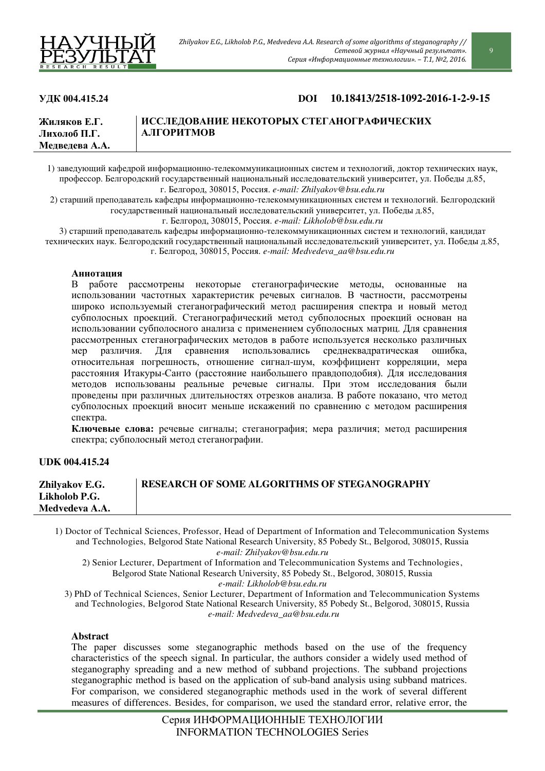

# **ɍȾɄ 004.415.24 DOI 10.18413/2518-1092-2016-1-2-9-15**

| Жиляков Е.Г.   | ИССЛЕДОВАНИЕ НЕКОТОРЫХ СТЕГАНОГРАФИЧЕСКИХ |
|----------------|-------------------------------------------|
| Лихолоб П.Г.   | <b>АЛГОРИТМОВ</b>                         |
| Медведева А.А. |                                           |

1) заведующий кафедрой информационно-телекоммуникационных систем и технологий, доктор технических наук, профессор. Белгородский государственный национальный исследовательский университет, ул. Победы д.85, г. Белгород, 308015, Россия. e-mail: Zhilyakov@bsu.edu.ru

2) старший преподаватель кафедры информационно-телекоммуникационных систем и технологий. Белгородский государственный национальный исследовательский университет, ул. Победы д.85,

г. Белгород, 308015, Россия. *e-mail: Likholob@bsu.edu.ru* 

3) старший преподаватель кафедры информационно-телекоммуникационных систем и технологий, кандидат технических наук. Белгородский государственный национальный исследовательский университет, ул. Победы д.85, г. Белгород, 308015, Россия. e-mail: Medvedeva\_aa@bsu.edu.ru

### **Аннотания**

В работе рассмотрены некоторые стеганографические методы, основанные на использовании частотных характеристик речевых сигналов. В частности, рассмотрены широко используемый стеганографический метод расширения спектра и новый метод субполосных проекций. Стеганографический метод субполосных проекций основан на использовании субполосного анализа с применением субполосных матриц. Для сравнения рассмотренных стеганографических методов в работе используется несколько различных мер различия. Для сравнения использовались среднеквадратическая ошибка, относительная погрешность, отношение сигнал-шум, коэффициент корреляции, мера расстояния Итакуры-Санто (расстояние наибольшего правдоподобия). Для исследования методов использованы реальные речевые сигналы. При этом исследования были проведены при различных длительностях отрезков анализа. В работе показано, что метод субполосных проекций вносит меньше искажений по сравнению с методом расширения спектра.

Ключевые слова: речевые сигналы; стеганография; мера различия; метод расширения спектра; субполосный метод стеганографии.

# **UDK 004.415.24**

| Zhilyakov E.G. | <b>RESEARCH OF SOME ALGORITHMS OF STEGANOGRAPHY</b> |
|----------------|-----------------------------------------------------|
| Likholob P.G.  |                                                     |
| Medvedeva A.A. |                                                     |
|                |                                                     |

1) Doctor of Technical Sciences, Professor, Head of Department of Information and Telecommunication Systems and Technologies, Belgorod State National Research University, 85 Pobedy St., Belgorod, 308015, Russia *e-mail: Zhilyakov@bsu.edu.ru*

2) Senior Lecturer, Department of Information and Telecommunication Systems and Technologies, Belgorod State National Research University, 85 Pobedy St., Belgorod, 308015, Russia *e-mail: Likholob@bsu.edu.ru*

3) PhD of Technical Sciences, Senior Lecturer, Department of Information and Telecommunication Systems and Technologies, Belgorod State National Research University, 85 Pobedy St., Belgorod, 308015, Russia *e-mail: Medvedeva\_aa@bsu.edu.ru*

# **Abstract**

The paper discusses some steganographic methods based on the use of the frequency characteristics of the speech signal. In particular, the authors consider a widely used method of steganography spreading and a new method of subband projections. The subband projections steganographic method is based on the application of sub-band analysis using subband matrices. For comparison, we considered steganographic methods used in the work of several different measures of differences. Besides, for comparison, we used the standard error, relative error, the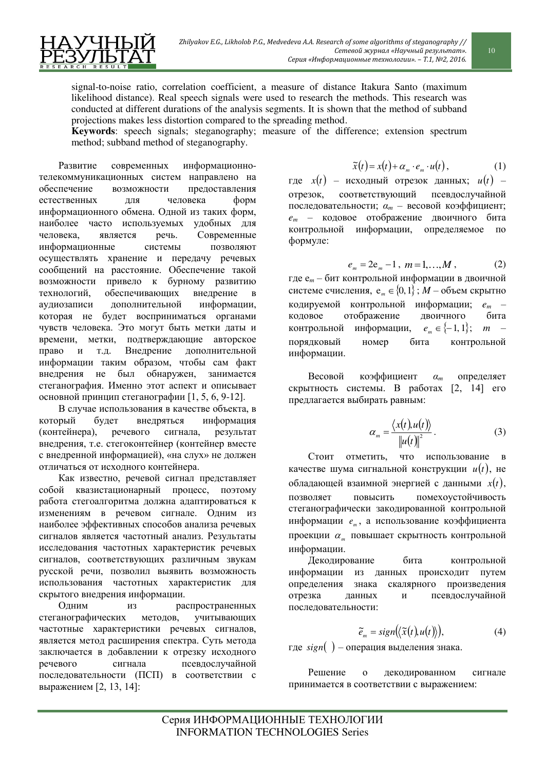signal-to-noise ratio, correlation coefficient, a measure of distance Itakura Santo (maximum likelihood distance). Real speech signals were used to research the methods. This research was conducted at different durations of the analysis segments. It is shown that the method of subband projections makes less distortion compared to the spreading method.

**Keywords**: speech signals; steganography; measure of the difference; extension spectrum method; subband method of steganography.

Развитие современных информационнотелекоммуникационных систем направлено на обеспечение возможности предоставления естественных лля человека форм информационного обмена. Одной из таких форм, наиболее часто используемых удобных для человека, является речь. Современные информационные системы позволяют осуществлять хранение и передачу речевых сообщений на расстояние. Обеспечение такой возможности привело к бурному развитию технологий, обеспечивающих внедрение в аудиозаписи дополнительной информации, которая не будет восприниматься органами чувств человека. Это могут быть метки даты и времени, метки, подтверждающие авторское право и т.д. Внедрение дополнительной информации таким образом, чтобы сам факт внедрения не был обнаружен, занимается стеганография. Именно этот аспект и описывает основной принцип стеганографии [1, 5, 6, 9-12].

В случае использования в качестве объекта, в который будет внедряться информация (контейнера), речевого сигнала, результат внедрения, т.е. стегоконтейнер (контейнер вместе с внедренной информацией), «на слух» не должен отличаться от исходного контейнера.

Как известно, речевой сигнал представляет собой квазистационарный процесс, поэтому работа стегоалгоритма должна адаптироваться к изменениям в речевом сигнале. Одним из наиболее эффективных способов анализа речевых сигналов является частотный анализ. Результаты исследования частотных характеристик речевых сигналов, соответствующих различным звукам русской речи, позволил выявить возможность использования частотных характеристик для скрытого внедрения информации.

Одним из распространенных стеганографических методов, учитывающих частотные характеристики речевых сигналов, является метод расширения спектра. Суть метода заключается в добавлении к отрезку исходного речевого сигнала псевдослучайной последовательности (ПСП) в соответствии с выражением [2, 13, 14]:

$$
\widetilde{x}(t) = x(t) + \alpha_m \cdot e_m \cdot u(t), \qquad (1)
$$

где  $x(t)$  – исходный отрезок данных;  $u(t)$  – отрезок, соответствующий псевдослучайной последовательности;  $a_m$  – весовой коэффициент;  $e_m$  – кодовое отображение двоичного бита контрольной информации, определяемое по формуле:

$$
e_m = 2e_m - 1, \ m = 1, \dots, M \tag{2}
$$

где е<sub>m</sub> – бит контрольной информации в двоичной системе счисления, е<sub>m</sub> ∈ {0, 1}; *М* – объем скрытно кодируемой контрольной информации;  $e_m$  – кодовое отображение двоичного бита контрольной информации,  $e_m \in \{-1, 1\}; \quad m$  – порядковый номер бита контрольной информации.

Весовой коэффициент  $a_m$  определяет скрытность системы. В работах [2, 14] его предлагается выбирать равным:

$$
\alpha_m = \frac{\langle x(t), u(t) \rangle}{\|u(t)\|^2}.
$$
 (3)

Стоит отметить, что использование в качестве шума сигнальной конструкции  $u(t)$ , не обладающей взаимной энергией с данными  $x(t)$ , позволяет повысить помехоустойчивость стеганографически закодированной контрольной информации е<sub>т</sub>, а использование коэффициента проекции а<sub>m</sub> повышает скрытность контрольной информации.

Декодирование бита контрольной информации из данных происходит путем определения знака скалярного произведения отрезка данных и псевдослучайной послеловательности:

$$
\widetilde{e}_m = sign\big(\big\langle \widetilde{x}(t), u(t) \big\rangle\big),\tag{4}
$$

 $\text{Eine sign}()$  – операция вылеления знака.

Решение о декодированном сигнале принимается в соответствии с выражением:

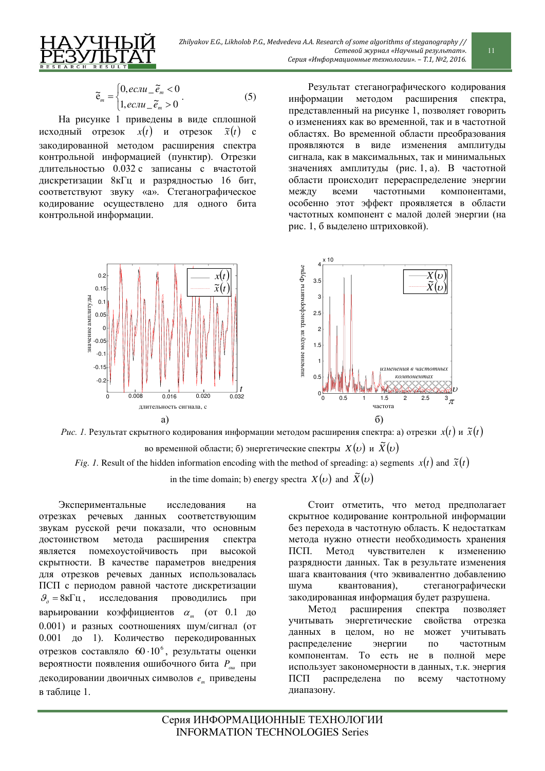

$$
\widetilde{e}_m = \begin{cases} 0, e c \pi u_- \widetilde{e}_m < 0 \\ 1, e c \pi u_- \widetilde{e}_m > 0 \end{cases} \tag{5}
$$

На рисунке 1 приведены в виде сплошной исходный отрезок  $x(t)$  и отрезок  $\tilde{x}(t)$  с закодированной методом расширения спектра контрольной информацией (пунктир). Отрезки длительностью 0.032 с записаны с вчастотой дискретизации 8кГц и разрядностью 16 бит, соответствуют звуку «а». Стеганографическое кодирование осуществлено для одного бита контрольной информации.

Результат стеганографического кодирования информации методом расширения спектра, представленный на рисунке 1, позволяет говорить о изменениях как во временной, так и в частотной областях. Во временной области преобразования проявляются в виде изменения амплитуды сигнала, как в максимальных, так и минимальных значениях амплитуды (рис. 1, а). В частотной области происходит перераспределение энергии между всеми частотными компонентами, особенно этот эффект проявляется в области частотных компонент с малой долей энергии (на рис. 1, б выделено штриховкой).



*Рис. 1*. Результат скрытного кодирования информации методом расширения спектра: а) отрезки  $\,x(t)\,$ и  $\,\widetilde{x}(t)\,$ 

во временной области; б) энергетические спектры  $\,X(\nu)\,$ и  $\,\tilde{X}(\nu)\,$ *Fig. 1.* Result of the hidden information encoding with the method of spreading: a) segments  $x(t)$  and  $\tilde{x}(t)$ in the time domain; b) energy spectra  $X(\nu)$  and  $\widetilde{X}(\nu)$ 

Экспериментальные исследования на отрезках речевых данных соответствующим звукам русской речи показали, что основным иостоинством метола расширения спектра является помехоустойчивость при высокой скрытности. В качестве параметров внедрения для отрезков речевых данных использовалась ПСП с периодом равной частоте дискретизации  $\mathcal{G}_a = 8\kappa\Gamma$ ц, исследования проводились при варьировании коэффициентов  $\alpha_m$  (от 0.1 до 0.001) и разных соотношениях шум/сигнал (от 0.001 до 1). Количество перекодированных отрезков составляло  $60 \cdot 10^6$ , результаты оценки вероятности появления ошибочного бита  $P_{\text{av}}$  при декодировании двоичных символов *е*<sub>т</sub> приведены в таблице 1.

Стоит отметить, что метод предполагает скрытное кодирование контрольной информации без перехода в частотную область. К недостаткам метода нужно отнести необходимость хранения ПСП. Метод чувствителен к изменению разрядности данных. Так в результате изменения шага квантования (что эквивалентно добавлению шума квантования), стеганографически закодированная информация будет разрушена.

Метод расширения спектра позволяет учитывать энергетические свойства отрезка данных в целом, но не может учитывать распределение энергии по частотным компонентам. То есть не в полной мере использует закономерности в данных, т.к. энергия ПСП распределена по всему частотному диапазону.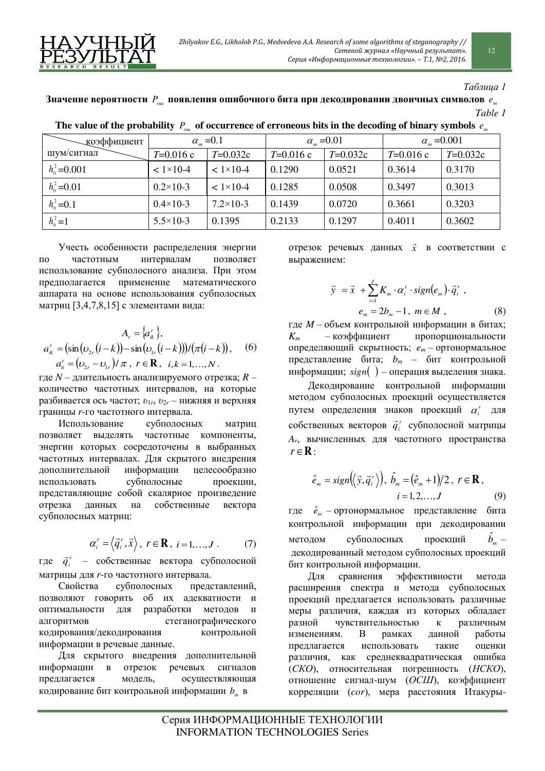

*Ɍɚɛɥɢɰɚ 1*

Значение вероятности  $\,P_{_{out}}\,$  появления ошибочного бита при декодировании двоичных символов  $\,e_{_{m}}\,$ *Table 1* 

| доэффициент     | $\alpha_{m}$ = 0.1   |                     | $\alpha_{m}$ =0.01 |            | $\alpha_{m} = 0.001$ |            |
|-----------------|----------------------|---------------------|--------------------|------------|----------------------|------------|
| шум/сигнал      | $T=0.016$ c          | $T=0.032c$          | $T=0.016$ c        | $T=0.032c$ | $T=0.016$ c          | $T=0.032c$ |
| $h_0^2$ = 0.001 | $< 1 \times 10 - 4$  | $< 1 \times 10-4$   | 0.1290             | 0.0521     | 0.3614               | 0.3170     |
| $h_0^2 = 0.01$  | $0.2 \times 10^{-3}$ | $< 1 \times 10 - 4$ | 0.1285             | 0.0508     | 0.3497               | 0.3013     |
| $h_0^2 = 0.1$   | $0.4 \times 10-3$    | $7.2 \times 10 - 3$ | 0.1439             | 0.0720     | 0.3661               | 0.3203     |
| $h_0^2 = 1$     | $5.5 \times 10-3$    | 0.1395              | 0.2133             | 0.1297     | 0.4011               | 0.3602     |

The value of the probability  $P_{\sigma u}$  of occurrence of erroneous bits in the decoding of binary symbols  $e_{\mu}$ 

Учесть особенности распределения энергии по частотным интервалам позволяет использование субполосного анализа. При этом предполагается применение математического аппарата на основе использования субполосных матриц  $[3,4,7,8,15]$  с элементами вида:

$$
A_r = \{a_k^r\},
$$
  
\n
$$
a_k^r = (\sin(\nu_{2r}(i-k)) - \sin(\nu_{1r}(i-k))) / (\pi(i-k)),
$$
 (6)  
\n
$$
a_k^r = (\nu_{2r} - \nu_{1r}) / \pi, r \in \mathbf{R}, i, k = 1, ..., N.
$$

где *N* – длительность анализируемого отрезка; *R* – количество частотных интервалов, на которые разбивается ось частот;  $v_{1r}$ ,  $v_{2r}$  – нижняя и верхняя границы r-го частотного интервала.

Использование субполосных матриц позволяет выделять частотные компоненты, энергии которых сосредоточены в выбранных частотных интервалах. Для скрытого внедрения дополнительной информации целесообразно использовать субполосные проекции, представляющие собой скалярное произведение отрезка данных на собственные вектора субполосных матриц:

$$
\alpha_i^r = \langle \vec{q}_i^r, \vec{x} \rangle, \ r \in \mathbf{R}, \ i = 1, ..., J. \tag{7}
$$

где  $\vec{q}_i^r$  – собственные вектора субполосной матрицы для r-го частотного интервала.

Свойства субполосных представлений, позволяют говорить об их адекватности и оптимальности для разработки методов и алгоритмов стеганографического кодирования/декодирования контрольной информации в речевые данные.

Для скрытого внедрения дополнительной информации в отрезок речевых сигналов предлагается модель, осуществляющая кодирование бит контрольной информации  $b_m$  в

отрезок речевых данных  $\vec{x}$  в соответствии с выражением:

$$
\vec{y} = \vec{x} + \sum_{i=1}^{J} K_m \cdot \alpha_i^r \cdot sign(e_m) \cdot \vec{q}_i^r ,
$$
  

$$
e_m = 2b_m - 1, m \in M ,
$$
 (8)

где *М* – объем контрольной информации в битах; *K*<sup>*m*</sup> – коэффициент пропорциональности определяющий скрытность;  $e_m$  – ортонормальное представление бита;  $b_m$  – бит контрольной  $\mu$ нформации;  $sign( )$  – операция выделения знака.

Декодирование контрольной информации методом субполосных проекций осуществляется путем определения знаков проекций  $\alpha_i^r$  для собственных векторов  $\vec{q}_i^r$  субполосной матрицы  $A_r$ , вычисленных для частотного пространства  $r \in \mathbf{R}$ .

$$
\hat{e}_m = sign\Big(\Big\langle \vec{y}, \vec{q}_i^r \Big\rangle\Big), \ \hat{b}_m = \Big(\hat{e}_m + 1\Big)/2, \ r \in \mathbf{R},
$$
  
\n $i = 1, 2, ..., J$  (9)

где  $\hat{e}_m$  – ортонормальное представление бита контрольной информации при декодировании методом субполосных проекций  $\hat{b}_{_m}$  – декодированный методом субполосных проекций бит контрольной информации.

Для сравнения эффективности метода расширения спектра и метода субполосных проекций предлагается использовать различные меры различия, каждая из которых обладает разной чувствительностью к различным изменениям. В рамках данной работы предлагается использовать такие оценки различия, как среднеквадратическая ошибка (*CKO*), относительная погрешность (*HCKO*), отношение сигнал-шум (ОСШ), коэффициент корреляции (cor), мера расстояния Итакуры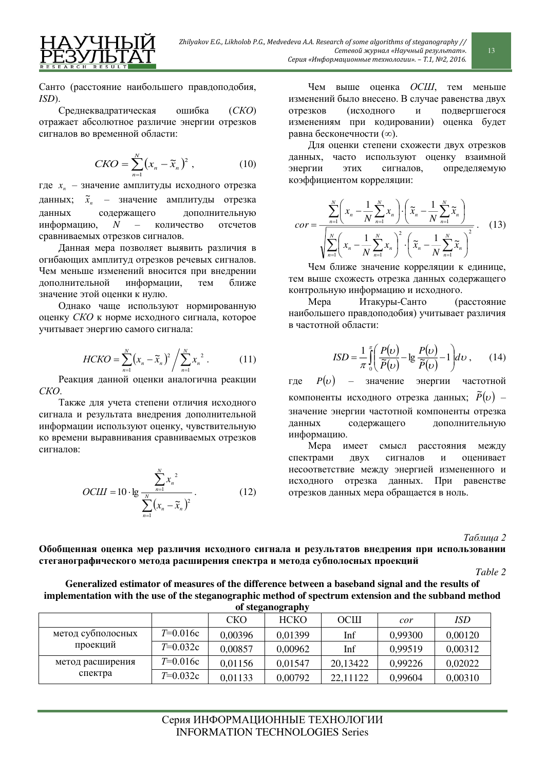Санто (расстояние наибольшего правдоподобия, *ISD*).

Среднеквадратическая ошибка (*СКО*) отражает абсолютное различие энергии отрезков сигналов во временной области:

$$
CKO = \sum_{n=1}^{N} (x_n - \widetilde{x}_n)^2, \qquad (10)
$$

где  $x_n$  – значение амплитуды исходного отрезка данных;  $\tilde{x}_n$  – значение амплитуды отрезка данных содержащего дополнительную информацию, *N* – количество отсчетов сравниваемых отрезков сигналов.

Данная мера позволяет выявить различия в огибающих амплитуд отрезков речевых сигналов. Чем меньше изменений вносится при внедрении дополнительной информации, тем ближе значение этой оценки к нулю.

Однако чаще используют нормированную оценку *СКО* к норме исходного сигнала, которое учитывает энергию самого сигнала:

$$
HCKO = \sum_{n=1}^{N} (x_n - \tilde{x}_n)^2 / \sum_{n=1}^{N} x_n^2
$$
 (11)

Реакция данной оценки аналогична реакции *ɋɄɈ*.

Также для учета степени отличия исходного сигнала и результата внедрения дополнительной информации используют оценку, чувствительную ко времени выравнивания сравниваемых отрезков сигналов:

$$
OCIII = 10 \cdot \lg \frac{\sum_{n=1}^{N} x_n^2}{\sum_{n=1}^{N} (x_n - \tilde{x}_n)^2}.
$$
 (12)

Чем выше оценка *ОСШ*, тем меньше изменений было внесено. В случае равенства двух отрезков (исходного и подвергшегося изменениям при кодировании) оценка будет равна бесконечности (∞).

Для оценки степени схожести двух отрезков данных, часто используют оценку взаимной энергии этих сигналов, определяемую коэффициентом корреляции:

$$
cor = \frac{\sum_{n=1}^{N} \left( x_n - \frac{1}{N} \sum_{n=1}^{N} x_n \right) \cdot \left( \tilde{x}_n - \frac{1}{N} \sum_{n=1}^{N} \tilde{x}_n \right)}{\sqrt{\sum_{n=1}^{N} \left( x_n - \frac{1}{N} \sum_{n=1}^{N} x_n \right)^2 \cdot \left( \tilde{x}_n - \frac{1}{N} \sum_{n=1}^{N} \tilde{x}_n \right)^2}}.
$$
 (13)

Чем ближе значение корреляции к единице, тем выше схожесть отрезка данных содержащего контрольную информацию и исходного.

Мера Итакуры-Санто (расстояние наибольшего правдоподобия) учитывает различия в частотной области:

$$
ISD = \frac{1}{\pi} \int_{0}^{\pi} \left( \frac{P(v)}{\widetilde{P}(v)} - \lg \frac{P(v)}{\widetilde{P}(v)} - 1 \right) dv , \qquad (14)
$$

где  $P(v)$  – значение энергии частотной компоненты исходного отрезка данных;  $\,\tilde{P}( \nu) \,$  – значение энергии частотной компоненты отрезка данных содержащего дополнительную информацию.

Мера имеет смысл расстояния между спектрами двух сигналов и оценивает несоответствие между энергией измененного и исходного отрезка данных. При равенстве отрезков данных мера обращается в ноль.

Tаблица 2

Обобщенная оценка мер различия исходного сигнала и результатов внедрения при использовании стеганографического метода расширения спектра и метода субполосных проекций

*Table 2* 

**Generalized estimator of measures of the difference between a baseband signal and the results of implementation with the use of the steganographic method of spectrum extension and the subband method of steganography** 

| u suganograpny                |            |            |             |          |         |         |  |  |  |
|-------------------------------|------------|------------|-------------|----------|---------|---------|--|--|--|
|                               |            | <b>CKO</b> | <b>HCKO</b> | OCIII    | cor     | ISD     |  |  |  |
| метод субполосных<br>проекций | $T=0.016c$ | 0,00396    | 0,01399     | Inf      | 0,99300 | 0,00120 |  |  |  |
|                               | $T=0.032c$ | 0,00857    | 0,00962     | Inf      | 0,99519 | 0,00312 |  |  |  |
| метод расширения<br>спектра   | $T=0.016c$ | 0,01156    | 0,01547     | 20,13422 | 0,99226 | 0,02022 |  |  |  |
|                               | $T=0.032c$ | 0,01133    | 0,00792     | 22,11122 | 0,99604 | 0,00310 |  |  |  |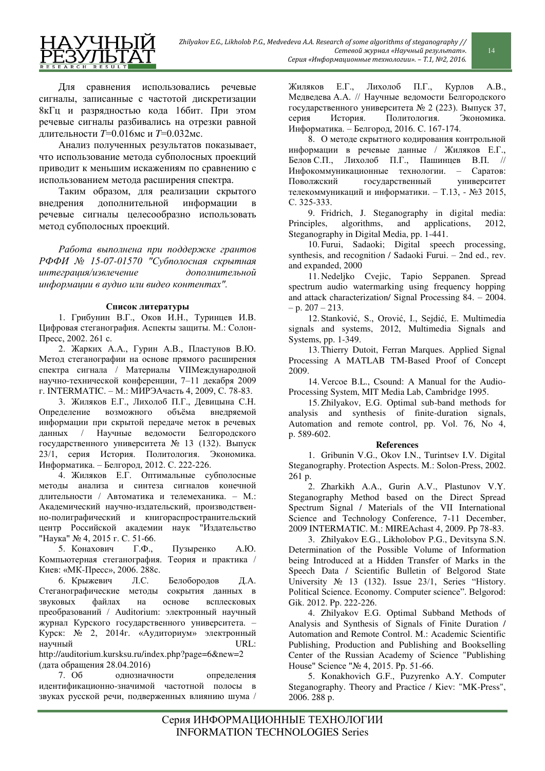

Для сравнения использовались речевые сигналы, записанные с частотой дискретизации 8кГц и разрядностью кода 16бит. При этом речевые сигналы разбивались на отрезки равной длительности *Т*=0.016мс и *Т*=0.032мс.

Анализ полученных результатов показывает, что использование метода субполосных проекций приводит к меньшим искажениям по сравнению с использованием метода расширения спектра.

Таким образом, для реализации скрытого внедрения дополнительной информации в речевые сигналы целесообразно использовать метод субполосных проекций.

Работа выполнена при поддержке грантов РФФИ № 15-07-01570 "Субполосная скрытная интеграция/извлечение дополнительной информации в аудио или видео контентах".

### Список литературы

1. Грибунин В.Г., Оков И.Н., Туринцев И.В. Цифровая стеганография. Аспекты защиты. М.: Солон-Πρecc, 2002. 261 c.

2. Жарких А.А., Гурин А.В., Пластунов В.Ю. Метод стеганографии на основе прямого расширения спектра сигнала / Материалы VIIМеждународной научно-технической конференции, 7–11 декабря 2009 г. INTERMATIC. – М.: МИРЭАчасть 4, 2009, С. 78-83.

3. Жиляков Е.Г., Лихолоб П.Г., Девицына С.Н. Определение возможного объёма внедряемой информации при скрытой передаче меток в речевых данных / Научные ведомости Белгородского государственного университета № 13 (132). Выпуск 23/1, серия История. Политология. Экономика. Информатика. – Белгород, 2012. С. 222-226.

4. Жиляков Е.Г. Оптимальные субполосные методы анализа и синтеза сигналов конечной длительности / Автоматика и телемеханика. – М.: Академический научно-издательский, производственно-полиграфический и книгораспространительский центр Российской академии наук "Издательство "Наука" № 4, 2015 г. С. 51-66.

5. Конахович Г.Ф., Пузыренко А.Ю. Компьютерная стеганография. Теория и практика / Киев: «МК-Пресс», 2006. 288с.

6. Крыжевич Л.С. Белобородов Д.А. Стеганографические метолы сокрытия ланных в звуковых файлах на основе всплесковых преобразований / Auditorium: электронный научный журнал Курского государственного университета. -Курск: № 2, 2014 г. «Аудиториум» электронный научный URL:

http://auditorium.kursksu.ru/index.php?page=6&new=2 (дата обращения 28.04.2016)

7. Об однозначности определения идентификационно-значимой частотной полосы в звуках русской речи, подверженных влиянию шума / Жиляков Е.Г., Лихолоб П.Г., Курлов А.В., Медведева А.А. // Научные ведомости Белгородского государственного университета № 2 (223). Выпуск 37, серия История. Политология. Экономика. Информатика. – Белгород, 2016. С. 167-174.

8. О методе скрытного кодирования контрольной информации в речевые данные / Жиляков Е.Г., Белов С.П., Лихолоб П.Г., Пашинцев В.П. // Инфокоммуникационные технологии. - Саратов: Поволжский государственный университет телекоммуникаций и информатики. – Т.13, - №3 2015, ɋ. 325-333.

9. Fridrich, J. Steganography in digital media: Principles, algorithms, and applications, 2012, Steganography in Digital Media, pp. 1-441.

10. Furui, Sadaoki; Digital speech processing, synthesis, and recognition / Sadaoki Furui. – 2nd ed., rev. and expanded, 2000

11. Nedeljko Cvejic, Tapio Seppanen. Spread spectrum audio watermarking using frequency hopping and attack characterization/ Signal Processing 84. – 2004.  $- p. 207 - 213.$ 

12. Stanković, S., Orović, I., Sejdić, E. Multimedia signals and systems, 2012, Multimedia Signals and Systems, pp. 1-349.

13. Thierry Dutoit, Ferran Marques. Applied Signal Processing A MATLAB TM-Based Proof of Concept 2009.

14. Vercoe B.L., Csound: A Manual for the Audio-Processing System, MIT Media Lab, Cambridge 1995.

15. Zhilyakov, E.G. Optimal sub-band methods for analysis and synthesis of finite-duration signals, Automation and remote control, pp. Vol. 76, No 4, p. 589-602.

#### **References**

1. Gribunin V.G., Okov I.N., Turintsev I.V. Digital Steganography. Protection Aspects. M.: Solon-Press, 2002. 261 p.

2. Zharkikh A.A., Gurin A.V., Plastunov V.Y. Steganography Method based on the Direct Spread Spectrum Signal / Materials of the VII International Science and Technology Conference, 7-11 December, 2009 INTERMATIC. M.: MIREAchast 4, 2009. Pp 78-83.

3. Zhilyakov E.G., Likholobov P.G., Devitsyna S.N. Determination of the Possible Volume of Information being Introduced at a Hidden Transfer of Marks in the Speech Data / Scientific Bulletin of Belgorod State University  $\mathbb{N}_2$  13 (132). Issue 23/1, Series "History. Political Science. Economy. Computer science". Belgorod: Gik. 2012. Pp. 222-226.

4. Zhilyakov E.G. Optimal Subband Methods of Analysis and Synthesis of Signals of Finite Duration / Automation and Remote Control. M.: Academic Scientific Publishing, Production and Publishing and Bookselling Center of the Russian Academy of Science "Publishing House" Science "№ 4, 2015. Pp. 51-66.

5. Konakhovich G.F., Puzyrenko A.Y. Computer Steganography. Theory and Practice / Kiev: "MK-Press", 2006. 288 p.